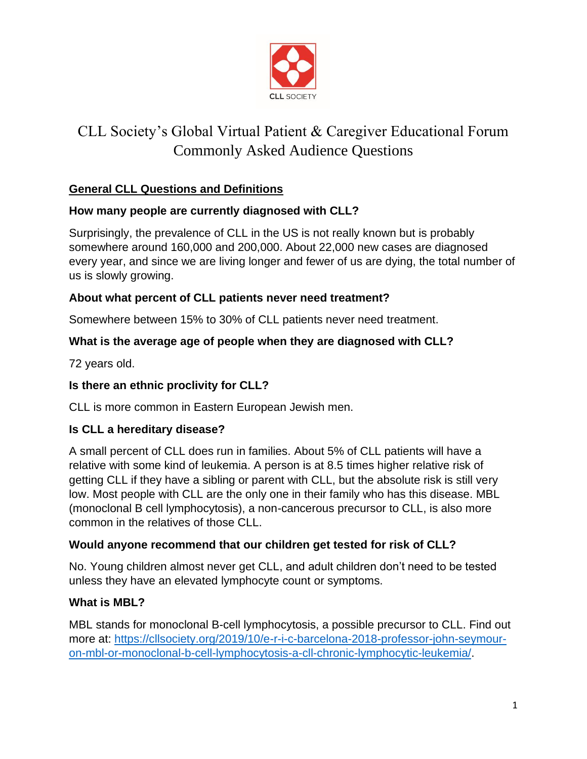

# CLL Society's Global Virtual Patient & Caregiver Educational Forum Commonly Asked Audience Questions

# **General CLL Questions and Definitions**

## **How many people are currently diagnosed with CLL?**

Surprisingly, the prevalence of CLL in the US is not really known but is probably somewhere around 160,000 and 200,000. About 22,000 new cases are diagnosed every year, and since we are living longer and fewer of us are dying, the total number of us is slowly growing.

## **About what percent of CLL patients never need treatment?**

Somewhere between 15% to 30% of CLL patients never need treatment.

# **What is the average age of people when they are diagnosed with CLL?**

72 years old.

## **Is there an ethnic proclivity for CLL?**

CLL is more common in Eastern European Jewish men.

# **Is CLL a hereditary disease?**

A small percent of CLL does run in families. About 5% of CLL patients will have a relative with some kind of leukemia. A person is at 8.5 times higher relative risk of getting CLL if they have a sibling or parent with CLL, but the absolute risk is still very low. Most people with CLL are the only one in their family who has this disease. MBL (monoclonal B cell lymphocytosis), a non-cancerous precursor to CLL, is also more common in the relatives of those CLL.

# **Would anyone recommend that our children get tested for risk of CLL?**

No. Young children almost never get CLL, and adult children don't need to be tested unless they have an elevated lymphocyte count or symptoms.

# **What is MBL?**

MBL stands for monoclonal B-cell lymphocytosis, a possible precursor to CLL. Find out more at: [https://cllsociety.org/2019/10/e-r-i-c-barcelona-2018-professor-john-seymour](https://cllsociety.org/2019/10/e-r-i-c-barcelona-2018-professor-john-seymour-on-mbl-or-monoclonal-b-cell-lymphocytosis-a-cll-chronic-lymphocytic-leukemia/)[on-mbl-or-monoclonal-b-cell-lymphocytosis-a-cll-chronic-lymphocytic-leukemia/.](https://cllsociety.org/2019/10/e-r-i-c-barcelona-2018-professor-john-seymour-on-mbl-or-monoclonal-b-cell-lymphocytosis-a-cll-chronic-lymphocytic-leukemia/)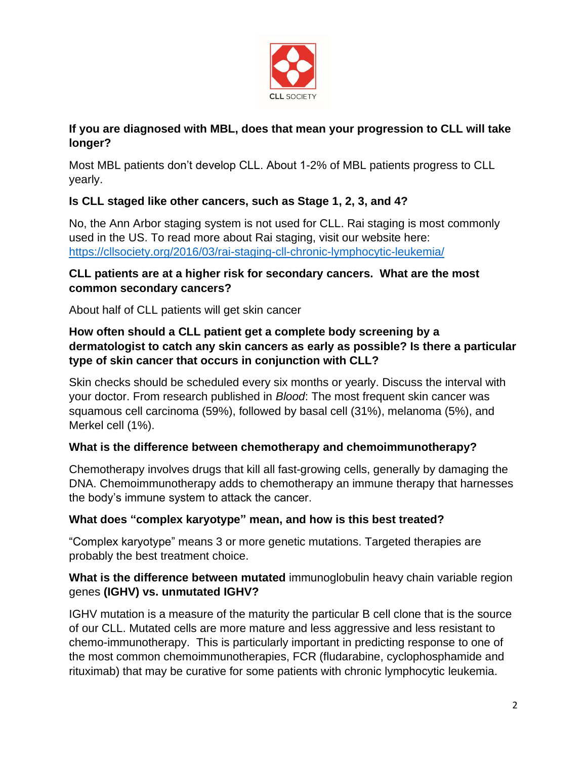

## **If you are diagnosed with MBL, does that mean your progression to CLL will take longer?**

Most MBL patients don't develop CLL. About 1-2% of MBL patients progress to CLL yearly.

# **Is CLL staged like other cancers, such as Stage 1, 2, 3, and 4?**

No, the Ann Arbor staging system is not used for CLL. Rai staging is most commonly used in the US. To read more about Rai staging, visit our website here: <https://cllsociety.org/2016/03/rai-staging-cll-chronic-lymphocytic-leukemia/>

## **CLL patients are at a higher risk for secondary cancers. What are the most common secondary cancers?**

About half of CLL patients will get skin cancer

## **How often should a CLL patient get a complete body screening by a dermatologist to catch any skin cancers as early as possible? Is there a particular type of skin cancer that occurs in conjunction with CLL?**

Skin checks should be scheduled every six months or yearly. Discuss the interval with your doctor. From research published in *Blood*: The most frequent skin cancer was squamous cell carcinoma (59%), followed by basal cell (31%), melanoma (5%), and Merkel cell (1%).

# **What is the difference between chemotherapy and chemoimmunotherapy?**

Chemotherapy involves drugs that kill all fast-growing cells, generally by damaging the DNA. Chemoimmunotherapy adds to chemotherapy an immune therapy that harnesses the body's immune system to attack the cancer.

# **What does "complex karyotype" mean, and how is this best treated?**

"Complex karyotype" means 3 or more genetic mutations. Targeted therapies are probably the best treatment choice.

## **What is the difference between mutated** immunoglobulin heavy chain variable region genes **(IGHV) vs. unmutated IGHV?**

IGHV mutation is a measure of the maturity the particular B cell clone that is the source of our CLL. Mutated cells are more mature and less aggressive and less resistant to chemo-immunotherapy. This is particularly important in predicting response to one of the most common chemoimmunotherapies, FCR (fludarabine, cyclophosphamide and rituximab) that may be curative for some patients with chronic lymphocytic leukemia.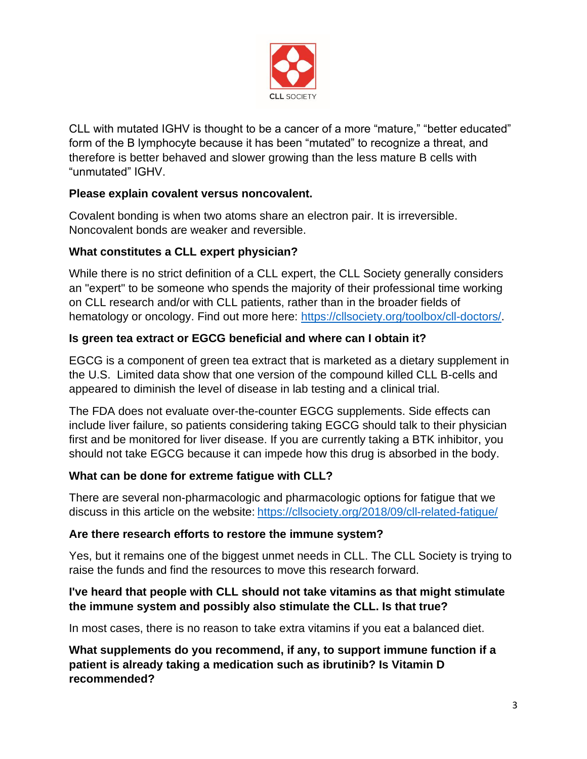

CLL with mutated IGHV is thought to be a cancer of a more "mature," "better educated" form of the B lymphocyte because it has been "mutated" to recognize a threat, and therefore is better behaved and slower growing than the less mature B cells with "unmutated" IGHV.

## **Please explain covalent versus noncovalent.**

Covalent bonding is when two atoms share an electron pair. It is irreversible. Noncovalent bonds are weaker and reversible.

## **What constitutes a CLL expert physician?**

While there is no strict definition of a CLL expert, the CLL Society generally considers an "expert" to be someone who spends the majority of their professional time working on CLL research and/or with CLL patients, rather than in the broader fields of hematology or oncology. Find out more here: [https://cllsociety.org/toolbox/cll-doctors/.](https://cllsociety.org/toolbox/cll-doctors/)

# **Is green tea extract or EGCG beneficial and where can I obtain it?**

EGCG is a component of green tea extract that is marketed as a dietary supplement in the U.S. Limited data show that one version of the compound killed CLL B-cells and appeared to diminish the level of disease in lab testing and a clinical trial.

The FDA does not evaluate over-the-counter EGCG supplements. Side effects can include liver failure, so patients considering taking EGCG should talk to their physician first and be monitored for liver disease. If you are currently taking a BTK inhibitor, you should not take EGCG because it can impede how this drug is absorbed in the body.

## **What can be done for extreme fatigue with CLL?**

There are several non-pharmacologic and pharmacologic options for fatigue that we discuss in this article on the website: <https://cllsociety.org/2018/09/cll-related-fatigue/>

## **Are there research efforts to restore the immune system?**

Yes, but it remains one of the biggest unmet needs in CLL. The CLL Society is trying to raise the funds and find the resources to move this research forward.

## **I've heard that people with CLL should not take vitamins as that might stimulate the immune system and possibly also stimulate the CLL. Is that true?**

In most cases, there is no reason to take extra vitamins if you eat a balanced diet.

**What supplements do you recommend, if any, to support immune function if a patient is already taking a medication such as ibrutinib? Is Vitamin D recommended?**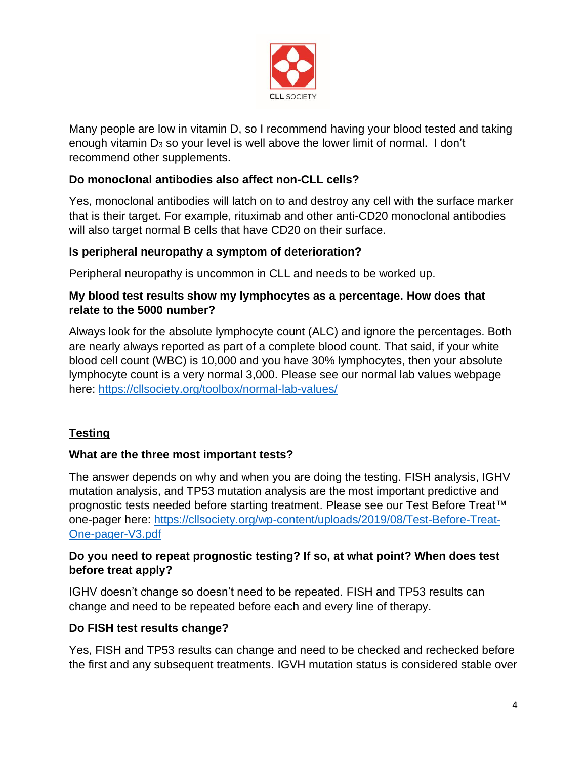

Many people are low in vitamin D, so I recommend having your blood tested and taking enough vitamin  $D_3$  so your level is well above the lower limit of normal. I don't recommend other supplements.

## **Do monoclonal antibodies also affect non-CLL cells?**

Yes, monoclonal antibodies will latch on to and destroy any cell with the surface marker that is their target. For example, rituximab and other anti-CD20 monoclonal antibodies will also target normal B cells that have CD20 on their surface.

## **Is peripheral neuropathy a symptom of deterioration?**

Peripheral neuropathy is uncommon in CLL and needs to be worked up.

## **My blood test results show my lymphocytes as a percentage. How does that relate to the 5000 number?**

Always look for the absolute lymphocyte count (ALC) and ignore the percentages. Both are nearly always reported as part of a complete blood count. That said, if your white blood cell count (WBC) is 10,000 and you have 30% lymphocytes, then your absolute lymphocyte count is a very normal 3,000. Please see our normal lab values webpage here:<https://cllsociety.org/toolbox/normal-lab-values/>

# **Testing**

## **What are the three most important tests?**

The answer depends on why and when you are doing the testing. FISH analysis, IGHV mutation analysis, and TP53 mutation analysis are the most important predictive and prognostic tests needed before starting treatment. Please see our Test Before Treat™ one-pager here: [https://cllsociety.org/wp-content/uploads/2019/08/Test-Before-Treat-](https://cllsociety.org/wp-content/uploads/2019/08/Test-Before-Treat-One-pager-V3.pdf)[One-pager-V3.pdf](https://cllsociety.org/wp-content/uploads/2019/08/Test-Before-Treat-One-pager-V3.pdf)

## **Do you need to repeat prognostic testing? If so, at what point? When does test before treat apply?**

IGHV doesn't change so doesn't need to be repeated. FISH and TP53 results can change and need to be repeated before each and every line of therapy.

## **Do FISH test results change?**

Yes, FISH and TP53 results can change and need to be checked and rechecked before the first and any subsequent treatments. IGVH mutation status is considered stable over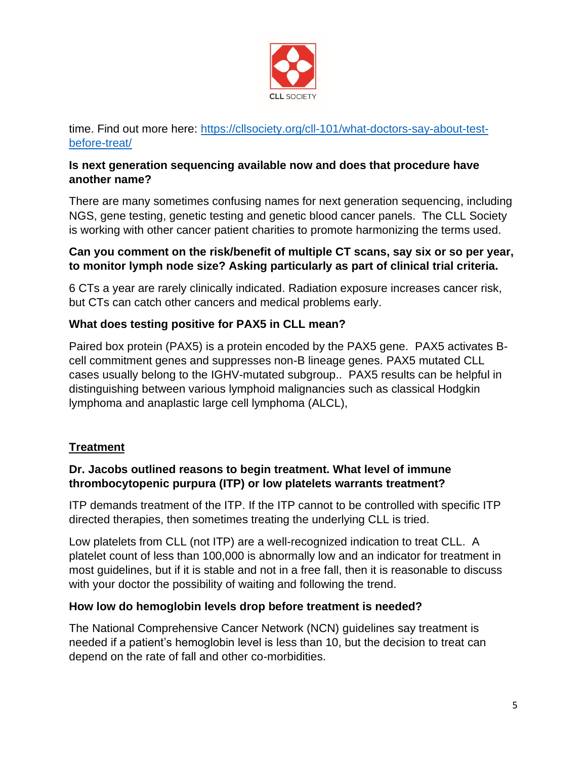

time. Find out more here: [https://cllsociety.org/cll-101/what-doctors-say-about-test](https://cllsociety.org/cll-101/what-doctors-say-about-test-before-treat/)[before-treat/](https://cllsociety.org/cll-101/what-doctors-say-about-test-before-treat/)

## **Is next generation sequencing available now and does that procedure have another name?**

There are many sometimes confusing names for next generation sequencing, including NGS, gene testing, genetic testing and genetic blood cancer panels. The CLL Society is working with other cancer patient charities to promote harmonizing the terms used.

#### **Can you comment on the risk/benefit of multiple CT scans, say six or so per year, to monitor lymph node size? Asking particularly as part of clinical trial criteria.**

6 CTs a year are rarely clinically indicated. Radiation exposure increases cancer risk, but CTs can catch other cancers and medical problems early.

# **What does testing positive for PAX5 in CLL mean?**

Paired box protein (PAX5) is a protein encoded by the PAX5 gene. PAX5 activates Bcell commitment genes and suppresses non-B lineage genes. PAX5 mutated CLL cases usually belong to the IGHV-mutated subgroup.. PAX5 results can be helpful in distinguishing between various lymphoid malignancies such as classical Hodgkin lymphoma and anaplastic large cell lymphoma (ALCL),

# **Treatment**

## **Dr. Jacobs outlined reasons to begin treatment. What level of immune thrombocytopenic purpura (ITP) or low platelets warrants treatment?**

ITP demands treatment of the ITP. If the ITP cannot to be controlled with specific ITP directed therapies, then sometimes treating the underlying CLL is tried.

Low platelets from CLL (not ITP) are a well-recognized indication to treat CLL. A platelet count of less than 100,000 is abnormally low and an indicator for treatment in most guidelines, but if it is stable and not in a free fall, then it is reasonable to discuss with your doctor the possibility of waiting and following the trend.

## **How low do hemoglobin levels drop before treatment is needed?**

The National Comprehensive Cancer Network (NCN) guidelines say treatment is needed if a patient's hemoglobin level is less than 10, but the decision to treat can depend on the rate of fall and other co-morbidities.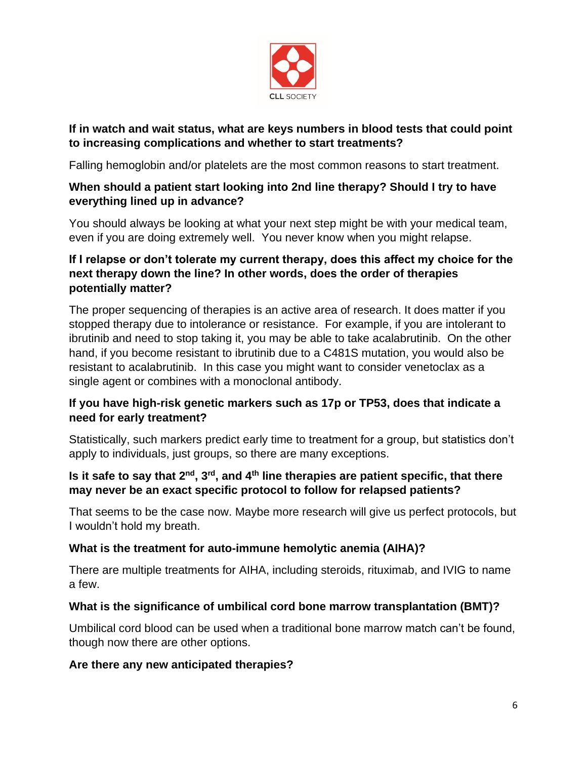

## **If in watch and wait status, what are keys numbers in blood tests that could point to increasing complications and whether to start treatments?**

Falling hemoglobin and/or platelets are the most common reasons to start treatment.

## **When should a patient start looking into 2nd line therapy? Should I try to have everything lined up in advance?**

You should always be looking at what your next step might be with your medical team, even if you are doing extremely well. You never know when you might relapse.

## **If I relapse or don't tolerate my current therapy, does this affect my choice for the next therapy down the line? In other words, does the order of therapies potentially matter?**

The proper sequencing of therapies is an active area of research. It does matter if you stopped therapy due to intolerance or resistance. For example, if you are intolerant to ibrutinib and need to stop taking it, you may be able to take acalabrutinib. On the other hand, if you become resistant to ibrutinib due to a C481S mutation, you would also be resistant to acalabrutinib. In this case you might want to consider venetoclax as a single agent or combines with a monoclonal antibody.

## **If you have high-risk genetic markers such as 17p or TP53, does that indicate a need for early treatment?**

Statistically, such markers predict early time to treatment for a group, but statistics don't apply to individuals, just groups, so there are many exceptions.

## **Is it safe to say that 2nd , 3 rd , and 4th line therapies are patient specific, that there may never be an exact specific protocol to follow for relapsed patients?**

That seems to be the case now. Maybe more research will give us perfect protocols, but I wouldn't hold my breath.

# **What is the treatment for auto-immune hemolytic anemia (AIHA)?**

There are multiple treatments for AIHA, including steroids, rituximab, and IVIG to name a few.

## **What is the significance of umbilical cord bone marrow transplantation (BMT)?**

Umbilical cord blood can be used when a traditional bone marrow match can't be found, though now there are other options.

## **Are there any new anticipated therapies?**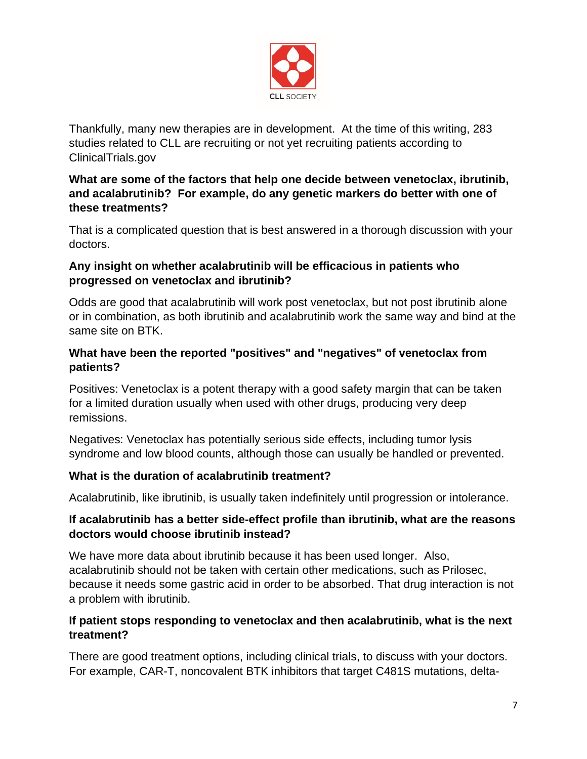

Thankfully, many new therapies are in development. At the time of this writing, 283 studies related to CLL are recruiting or not yet recruiting patients according to ClinicalTrials.gov

## **What are some of the factors that help one decide between venetoclax, ibrutinib, and acalabrutinib? For example, do any genetic markers do better with one of these treatments?**

That is a complicated question that is best answered in a thorough discussion with your doctors.

## **Any insight on whether acalabrutinib will be efficacious in patients who progressed on venetoclax and ibrutinib?**

Odds are good that acalabrutinib will work post venetoclax, but not post ibrutinib alone or in combination, as both ibrutinib and acalabrutinib work the same way and bind at the same site on BTK.

## **What have been the reported "positives" and "negatives" of venetoclax from patients?**

Positives: Venetoclax is a potent therapy with a good safety margin that can be taken for a limited duration usually when used with other drugs, producing very deep remissions.

Negatives: Venetoclax has potentially serious side effects, including tumor lysis syndrome and low blood counts, although those can usually be handled or prevented.

## **What is the duration of acalabrutinib treatment?**

Acalabrutinib, like ibrutinib, is usually taken indefinitely until progression or intolerance.

## **If acalabrutinib has a better side-effect profile than ibrutinib, what are the reasons doctors would choose ibrutinib instead?**

We have more data about ibrutinib because it has been used longer. Also, acalabrutinib should not be taken with certain other medications, such as Prilosec, because it needs some gastric acid in order to be absorbed. That drug interaction is not a problem with ibrutinib.

## **If patient stops responding to venetoclax and then acalabrutinib, what is the next treatment?**

There are good treatment options, including clinical trials, to discuss with your doctors. For example, CAR-T, noncovalent BTK inhibitors that target C481S mutations, delta-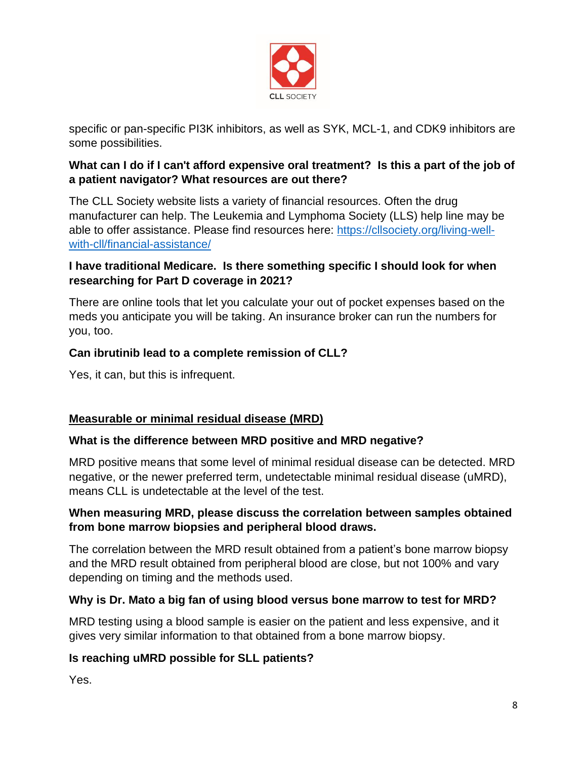

specific or pan-specific PI3K inhibitors, as well as SYK, MCL-1, and CDK9 inhibitors are some possibilities.

## **What can I do if I can't afford expensive oral treatment? Is this a part of the job of a patient navigator? What resources are out there?**

The CLL Society website lists a variety of financial resources. Often the drug manufacturer can help. The Leukemia and Lymphoma Society (LLS) help line may be able to offer assistance. Please find resources here: [https://cllsociety.org/living-well](https://cllsociety.org/living-well-with-cll/financial-assistance/)[with-cll/financial-assistance/](https://cllsociety.org/living-well-with-cll/financial-assistance/)

## **I have traditional Medicare. Is there something specific I should look for when researching for Part D coverage in 2021?**

There are online tools that let you calculate your out of pocket expenses based on the meds you anticipate you will be taking. An insurance broker can run the numbers for you, too.

## **Can ibrutinib lead to a complete remission of CLL?**

Yes, it can, but this is infrequent.

# **Measurable or minimal residual disease (MRD)**

## **What is the difference between MRD positive and MRD negative?**

MRD positive means that some level of minimal residual disease can be detected. MRD negative, or the newer preferred term, undetectable minimal residual disease (uMRD), means CLL is undetectable at the level of the test.

## **When measuring MRD, please discuss the correlation between samples obtained from bone marrow biopsies and peripheral blood draws.**

The correlation between the MRD result obtained from a patient's bone marrow biopsy and the MRD result obtained from peripheral blood are close, but not 100% and vary depending on timing and the methods used.

## **Why is Dr. Mato a big fan of using blood versus bone marrow to test for MRD?**

MRD testing using a blood sample is easier on the patient and less expensive, and it gives very similar information to that obtained from a bone marrow biopsy.

# **Is reaching uMRD possible for SLL patients?**

Yes.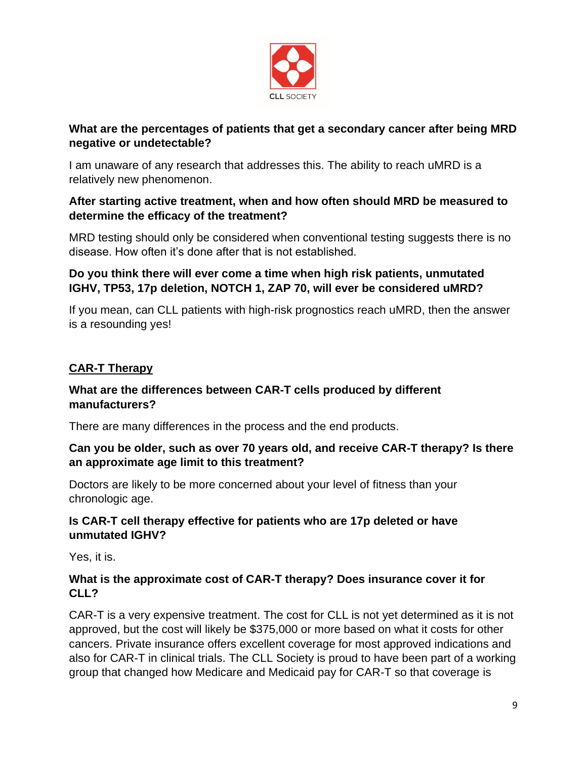

## **What are the percentages of patients that get a secondary cancer after being MRD negative or undetectable?**

I am unaware of any research that addresses this. The ability to reach uMRD is a relatively new phenomenon.

## **After starting active treatment, when and how often should MRD be measured to determine the efficacy of the treatment?**

MRD testing should only be considered when conventional testing suggests there is no disease. How often it's done after that is not established.

## **Do you think there will ever come a time when high risk patients, unmutated IGHV, TP53, 17p deletion, NOTCH 1, ZAP 70, will ever be considered uMRD?**

If you mean, can CLL patients with high-risk prognostics reach uMRD, then the answer is a resounding yes!

# **CAR-T Therapy**

#### **What are the differences between CAR-T cells produced by different manufacturers?**

There are many differences in the process and the end products.

## **Can you be older, such as over 70 years old, and receive CAR-T therapy? Is there an approximate age limit to this treatment?**

Doctors are likely to be more concerned about your level of fitness than your chronologic age.

## **Is CAR-T cell therapy effective for patients who are 17p deleted or have unmutated IGHV?**

Yes, it is.

## **What is the approximate cost of CAR-T therapy? Does insurance cover it for CLL?**

CAR-T is a very expensive treatment. The cost for CLL is not yet determined as it is not approved, but the cost will likely be \$375,000 or more based on what it costs for other cancers. Private insurance offers excellent coverage for most approved indications and also for CAR-T in clinical trials. The CLL Society is proud to have been part of a working group that changed how Medicare and Medicaid pay for CAR-T so that coverage is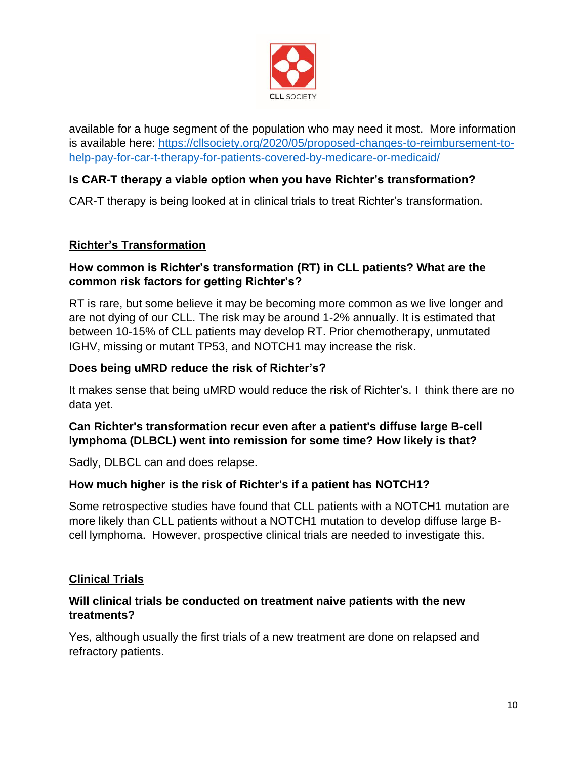

available for a huge segment of the population who may need it most. More information is available here: [https://cllsociety.org/2020/05/proposed-changes-to-reimbursement-to](https://cllsociety.org/2020/05/proposed-changes-to-reimbursement-to-help-pay-for-car-t-therapy-for-patients-covered-by-medicare-or-medicaid/)[help-pay-for-car-t-therapy-for-patients-covered-by-medicare-or-medicaid/](https://cllsociety.org/2020/05/proposed-changes-to-reimbursement-to-help-pay-for-car-t-therapy-for-patients-covered-by-medicare-or-medicaid/)

## **Is CAR-T therapy a viable option when you have Richter's transformation?**

CAR-T therapy is being looked at in clinical trials to treat Richter's transformation.

#### **Richter's Transformation**

#### **How common is Richter's transformation (RT) in CLL patients? What are the common risk factors for getting Richter's?**

RT is rare, but some believe it may be becoming more common as we live longer and are not dying of our CLL. The risk may be around 1-2% annually. It is estimated that between 10-15% of CLL patients may develop RT. Prior chemotherapy, unmutated IGHV, missing or mutant TP53, and NOTCH1 may increase the risk.

#### **Does being uMRD reduce the risk of Richter's?**

It makes sense that being uMRD would reduce the risk of Richter's. I think there are no data yet.

## **Can Richter's transformation recur even after a patient's diffuse large B-cell lymphoma (DLBCL) went into remission for some time? How likely is that?**

Sadly, DLBCL can and does relapse.

## **How much higher is the risk of Richter's if a patient has NOTCH1?**

Some retrospective studies have found that CLL patients with a NOTCH1 mutation are more likely than CLL patients without a NOTCH1 mutation to develop diffuse large Bcell lymphoma. However, prospective clinical trials are needed to investigate this.

## **Clinical Trials**

#### **Will clinical trials be conducted on treatment naive patients with the new treatments?**

Yes, although usually the first trials of a new treatment are done on relapsed and refractory patients.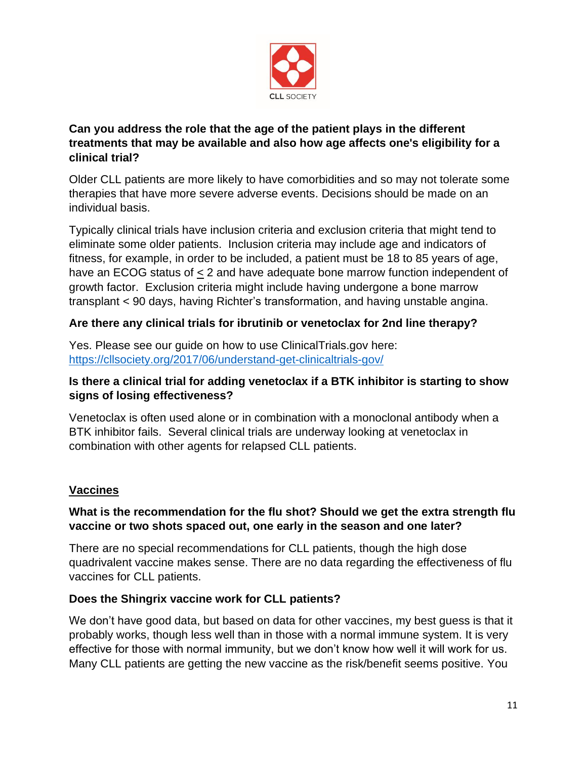

## **Can you address the role that the age of the patient plays in the different treatments that may be available and also how age affects one's eligibility for a clinical trial?**

Older CLL patients are more likely to have comorbidities and so may not tolerate some therapies that have more severe adverse events. Decisions should be made on an individual basis.

Typically clinical trials have inclusion criteria and exclusion criteria that might tend to eliminate some older patients. Inclusion criteria may include age and indicators of fitness, for example, in order to be included, a patient must be 18 to 85 years of age, have an ECOG status of  $\leq$  2 and have adequate bone marrow function independent of growth factor. Exclusion criteria might include having undergone a bone marrow transplant < 90 days, having Richter's transformation, and having unstable angina.

## **Are there any clinical trials for ibrutinib or venetoclax for 2nd line therapy?**

Yes. Please see our guide on how to use ClinicalTrials.gov here: <https://cllsociety.org/2017/06/understand-get-clinicaltrials-gov/>

## **Is there a clinical trial for adding venetoclax if a BTK inhibitor is starting to show signs of losing effectiveness?**

Venetoclax is often used alone or in combination with a monoclonal antibody when a BTK inhibitor fails. Several clinical trials are underway looking at venetoclax in combination with other agents for relapsed CLL patients.

# **Vaccines**

## **What is the recommendation for the flu shot? Should we get the extra strength flu vaccine or two shots spaced out, one early in the season and one later?**

There are no special recommendations for CLL patients, though the high dose quadrivalent vaccine makes sense. There are no data regarding the effectiveness of flu vaccines for CLL patients.

## **Does the Shingrix vaccine work for CLL patients?**

We don't have good data, but based on data for other vaccines, my best guess is that it probably works, though less well than in those with a normal immune system. It is very effective for those with normal immunity, but we don't know how well it will work for us. Many CLL patients are getting the new vaccine as the risk/benefit seems positive. You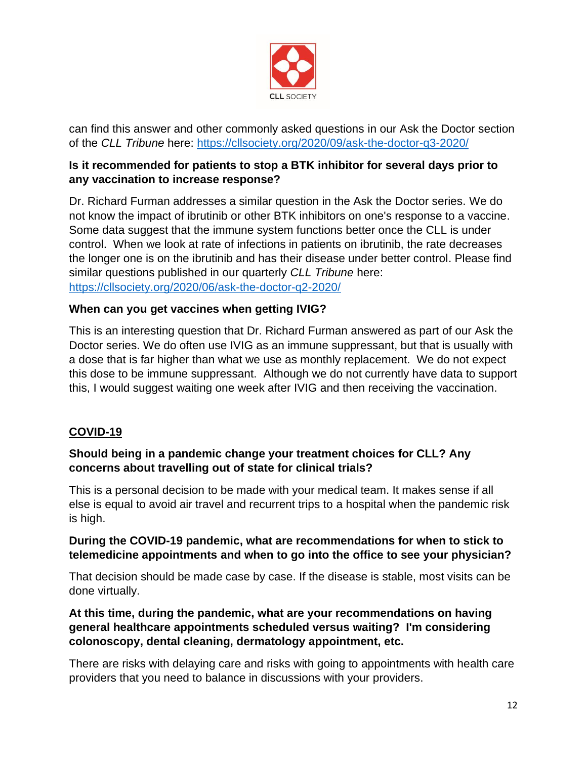

can find this answer and other commonly asked questions in our Ask the Doctor section of the *CLL Tribune* here:<https://cllsociety.org/2020/09/ask-the-doctor-q3-2020/>

## **Is it recommended for patients to stop a BTK inhibitor for several days prior to any vaccination to increase response?**

Dr. Richard Furman addresses a similar question in the Ask the Doctor series. We do not know the impact of ibrutinib or other BTK inhibitors on one's response to a vaccine. Some data suggest that the immune system functions better once the CLL is under control. When we look at rate of infections in patients on ibrutinib, the rate decreases the longer one is on the ibrutinib and has their disease under better control. Please find similar questions published in our quarterly *CLL Tribune* here: <https://cllsociety.org/2020/06/ask-the-doctor-q2-2020/>

## **When can you get vaccines when getting IVIG?**

This is an interesting question that Dr. Richard Furman answered as part of our Ask the Doctor series. We do often use IVIG as an immune suppressant, but that is usually with a dose that is far higher than what we use as monthly replacement. We do not expect this dose to be immune suppressant. Although we do not currently have data to support this, I would suggest waiting one week after IVIG and then receiving the vaccination.

# **COVID-19**

## **Should being in a pandemic change your treatment choices for CLL? Any concerns about travelling out of state for clinical trials?**

This is a personal decision to be made with your medical team. It makes sense if all else is equal to avoid air travel and recurrent trips to a hospital when the pandemic risk is high.

#### **During the COVID-19 pandemic, what are recommendations for when to stick to telemedicine appointments and when to go into the office to see your physician?**

That decision should be made case by case. If the disease is stable, most visits can be done virtually.

## **At this time, during the pandemic, what are your recommendations on having general healthcare appointments scheduled versus waiting? I'm considering colonoscopy, dental cleaning, dermatology appointment, etc.**

There are risks with delaying care and risks with going to appointments with health care providers that you need to balance in discussions with your providers.